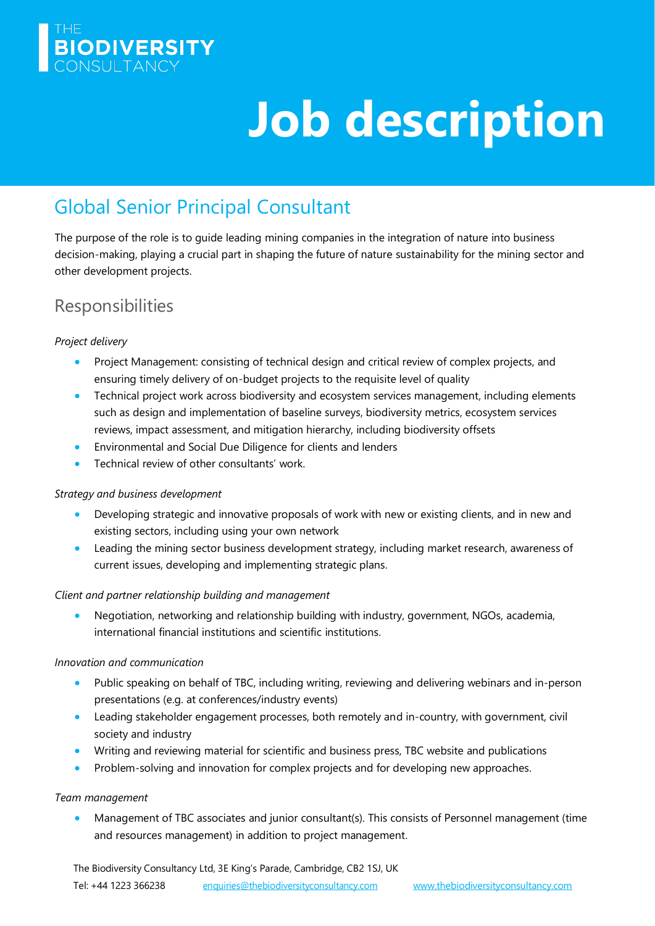

# **Job description**

# Global Senior Principal Consultant

The purpose of the role is to guide leading mining companies in the integration of nature into business decision-making, playing a crucial part in shaping the future of nature sustainability for the mining sector and other development projects.

## **Responsibilities**

#### *Project delivery*

- Project Management: consisting of technical design and critical review of complex projects, and ensuring timely delivery of on-budget projects to the requisite level of quality
- Technical project work across biodiversity and ecosystem services management, including elements such as design and implementation of baseline surveys, biodiversity metrics, ecosystem services reviews, impact assessment, and mitigation hierarchy, including biodiversity offsets
- Environmental and Social Due Diligence for clients and lenders
- Technical review of other consultants' work.

#### *Strategy and business development*

- Developing strategic and innovative proposals of work with new or existing clients, and in new and existing sectors, including using your own network
- Leading the mining sector business development strategy, including market research, awareness of current issues, developing and implementing strategic plans.

#### *Client and partner relationship building and management*

• Negotiation, networking and relationship building with industry, government, NGOs, academia, international financial institutions and scientific institutions.

#### *Innovation and communication*

- Public speaking on behalf of TBC, including writing, reviewing and delivering webinars and in-person presentations (e.g. at conferences/industry events)
- Leading stakeholder engagement processes, both remotely and in-country, with government, civil society and industry
- Writing and reviewing material for scientific and business press, TBC website and publications
- Problem-solving and innovation for complex projects and for developing new approaches.

#### *Team management*

• Management of TBC associates and junior consultant(s). This consists of Personnel management (time and resources management) in addition to project management.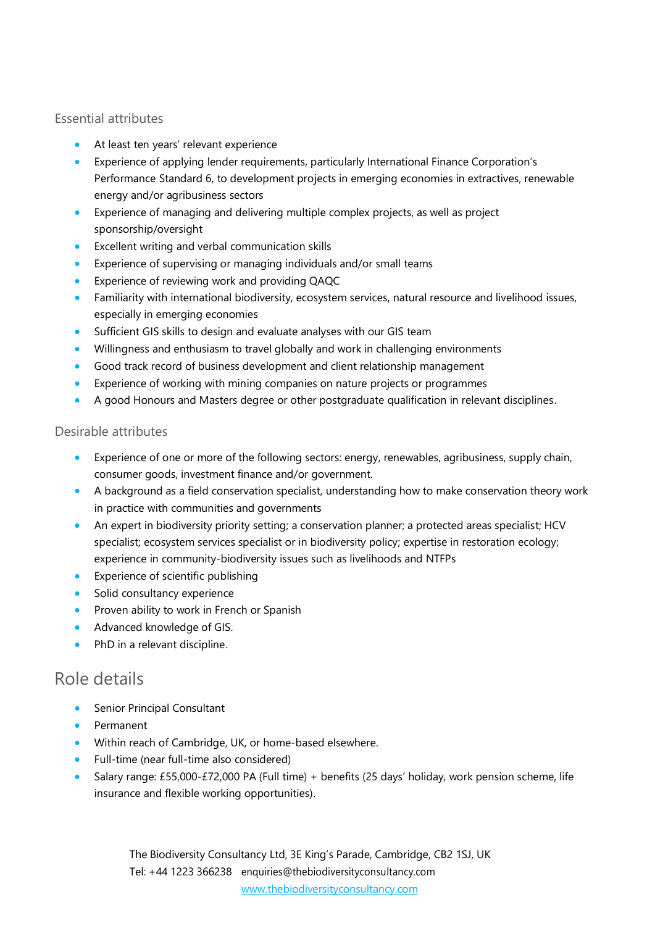#### Essential attributes

- At least ten years' relevant experience
- Experience of applying lender requirements, particularly International Finance Corporation's Performance Standard 6, to development projects in emerging economies in extractives, renewable energy and/or agribusiness sectors
- Experience of managing and delivering multiple complex projects, as well as project sponsorship/oversight
- Excellent writing and verbal communication skills
- Experience of supervising or managing individuals and/or small teams
- Experience of reviewing work and providing QAQC
- Familiarity with international biodiversity, ecosystem services, natural resource and livelihood issues, especially in emerging economies
- Sufficient GIS skills to design and evaluate analyses with our GIS team
- Willingness and enthusiasm to travel globally and work in challenging environments
- Good track record of business development and client relationship management
- Experience of working with mining companies on nature projects or programmes
- A good Honours and Masters degree or other postgraduate qualification in relevant disciplines.

#### Desirable attributes

- Experience of one or more of the following sectors: energy, renewables, agribusiness, supply chain, consumer goods, investment finance and/or government.
- A background as a field conservation specialist, understanding how to make conservation theory work in practice with communities and governments
- An expert in biodiversity priority setting; a conservation planner; a protected areas specialist; HCV specialist; ecosystem services specialist or in biodiversity policy; expertise in restoration ecology; experience in community-biodiversity issues such as livelihoods and NTFPs
- Experience of scientific publishing
- Solid consultancy experience
- Proven ability to work in French or Spanish
- Advanced knowledge of GIS.
- PhD in a relevant discipline.

## Role details

- Senior Principal Consultant
- Permanent
- Within reach of Cambridge, UK, or home-based elsewhere.
- Full-time (near full-time also considered)
- Salary range: £55,000-£72,000 PA (Full time) + benefits (25 days' holiday, work pension scheme, life insurance and flexible working opportunities).